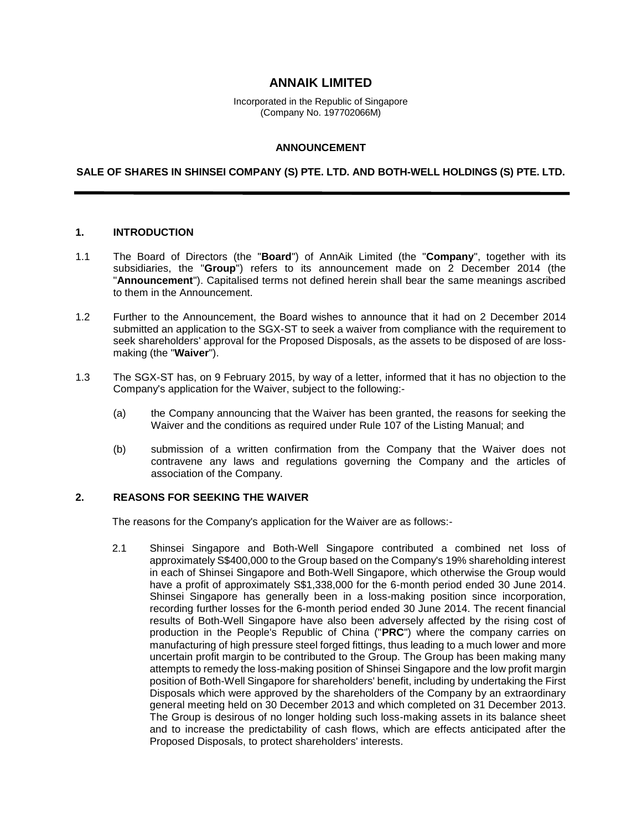# **ANNAIK LIMITED**

Incorporated in the Republic of Singapore (Company No. 197702066M)

### **ANNOUNCEMENT**

#### **SALE OF SHARES IN SHINSEI COMPANY (S) PTE. LTD. AND BOTH-WELL HOLDINGS (S) PTE. LTD.**

### **1. INTRODUCTION**

- 1.1 The Board of Directors (the "**Board**") of AnnAik Limited (the "**Company**", together with its subsidiaries, the "**Group**") refers to its announcement made on 2 December 2014 (the "**Announcement**"). Capitalised terms not defined herein shall bear the same meanings ascribed to them in the Announcement.
- 1.2 Further to the Announcement, the Board wishes to announce that it had on 2 December 2014 submitted an application to the SGX-ST to seek a waiver from compliance with the requirement to seek shareholders' approval for the Proposed Disposals, as the assets to be disposed of are lossmaking (the "**Waiver**").
- 1.3 The SGX-ST has, on 9 February 2015, by way of a letter, informed that it has no objection to the Company's application for the Waiver, subject to the following:-
	- (a) the Company announcing that the Waiver has been granted, the reasons for seeking the Waiver and the conditions as required under Rule 107 of the Listing Manual; and
	- (b) submission of a written confirmation from the Company that the Waiver does not contravene any laws and regulations governing the Company and the articles of association of the Company.

### **2. REASONS FOR SEEKING THE WAIVER**

The reasons for the Company's application for the Waiver are as follows:-

2.1 Shinsei Singapore and Both-Well Singapore contributed a combined net loss of approximately S\$400,000 to the Group based on the Company's 19% shareholding interest in each of Shinsei Singapore and Both-Well Singapore, which otherwise the Group would have a profit of approximately S\$1,338,000 for the 6-month period ended 30 June 2014. Shinsei Singapore has generally been in a loss-making position since incorporation, recording further losses for the 6-month period ended 30 June 2014. The recent financial results of Both-Well Singapore have also been adversely affected by the rising cost of production in the People's Republic of China ("**PRC**") where the company carries on manufacturing of high pressure steel forged fittings, thus leading to a much lower and more uncertain profit margin to be contributed to the Group. The Group has been making many attempts to remedy the loss-making position of Shinsei Singapore and the low profit margin position of Both-Well Singapore for shareholders' benefit, including by undertaking the First Disposals which were approved by the shareholders of the Company by an extraordinary general meeting held on 30 December 2013 and which completed on 31 December 2013. The Group is desirous of no longer holding such loss-making assets in its balance sheet and to increase the predictability of cash flows, which are effects anticipated after the Proposed Disposals, to protect shareholders' interests.